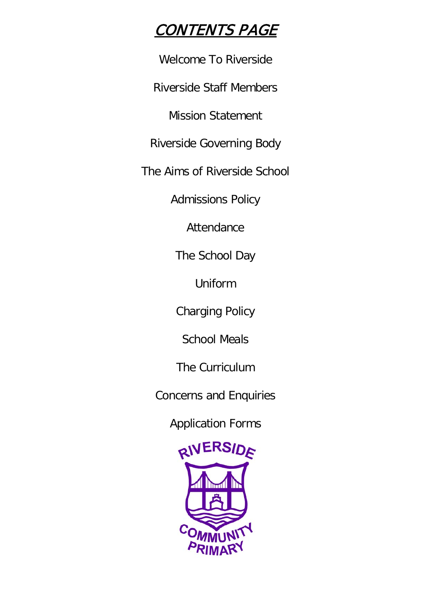# CONTENTS PAGE

Welcome To Riverside

Riverside Staff Members

Mission Statement

Riverside Governing Body

The Aims of Riverside School

Admissions Policy

Attendance

The School Day

Uniform

Charging Policy

School Meals

The Curriculum

Concerns and Enquiries

Application Forms

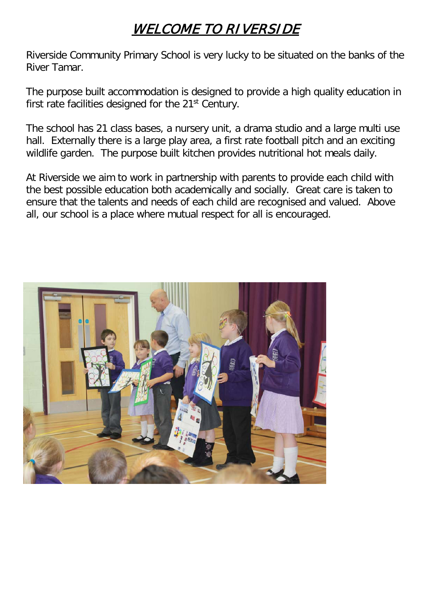# WELCOME TO RIVERSIDE

Riverside Community Primary School is very lucky to be situated on the banks of the River Tamar.

The purpose built accommodation is designed to provide a high quality education in first rate facilities designed for the 21<sup>st</sup> Century.

The school has 21 class bases, a nursery unit, a drama studio and a large multi use hall. Externally there is a large play area, a first rate football pitch and an exciting wildlife garden. The purpose built kitchen provides nutritional hot meals daily.

At Riverside we aim to work in partnership with parents to provide each child with the best possible education both academically and socially. Great care is taken to ensure that the talents and needs of each child are recognised and valued. Above all, our school is a place where mutual respect for all is encouraged.

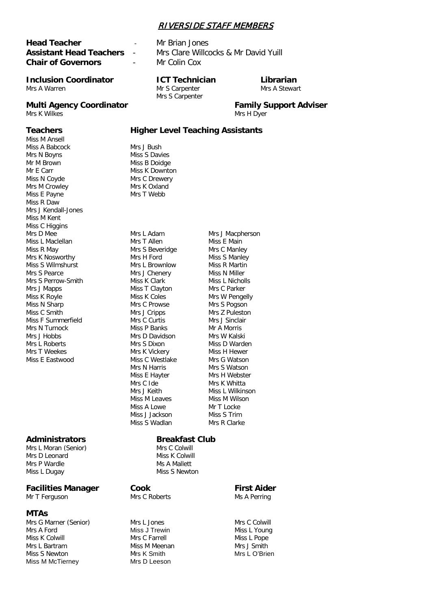### RIVERSIDE STAFF MEMBERS

## **Head Teacher** - Mr Brian Jones **Chair of Governors** - Mr Colin Cox

#### **Inclusion Coordinator ICT Technician Librarian** Mrs A Warren **Mr S Carpenter** Mrs A Stewart

### **Multi Agency Coordinator Family Support Adviser**

Mrs K Wilkes Mrs H Dyer

Miss M Ansell Miss A Babcock Mrs J Bush Mrs N Boyns Miss S Davies Mr M Brown Miss B Doidge Mr E Carr Miss K Downton Miss N Coyde Mrs C Drewery Mrs M Crowley Mrs K Oxland<br>
Miss F Payne Mrs T Webb Miss E Payne Miss R Daw Mrs J Kendall-Jones Miss M Kent Miss C Higgins Mrs D Mee Mrs L Adam Mrs J Macpherson Miss L Maclellan Mrs T Allen Miss E Main Miss R May **Mrs S Beveridge** Mrs C Manley<br>Mrs K Nosworthy **Mrs H Mrs H Ford** Miss S Manley Mrs K Nosworthy **Mrs H Ford** Miss S Manley<br>Miss S Wilmshurst Mrs Mrs I Brownlow Miss R Martin Miss S Wilmshurst Mrs L Brownlow Miss R Martin<br>Mrs S Pearce Miss N Miller Mrs S Perrow-Smith Mrs J Mapps Miss T Clayton Mrs C Parker Miss N Sharp Mrs C Prowse Mrs S Pogson<br>
Miss C Smith Mrs J Cripps Mrs X Pulesto Miss F Summerfield Mrs C Curtis Mrs J Sinclair<br>Mrs N Turnock Miss P Banks Mr A Morris Mrs N Turnock Mrs J Hobbs Mrs D Davidson Mrs W Kalski Mrs L Roberts **Mrs S Dixon** Miss D Warden Mrs T Weekes Mrs K Vickery Miss H Hewer Miss E Eastwood Miss C Westlake Mrs G Watson

## **Administrators Breakfast Club**

Mrs L Moran (Senior) Mrs C Colwill<br>Mrs D Leonard Mrs Miss K Colwill Mrs D Leonard Mrs P Wardle Ms A Mallett Miss L Dugay Miss S Newton

## **Facilities Manager Cook First Aider First Aider Mr T** Ferguson **Mr T** Ferguson

Mr T Ferguson Mrs C Roberts Mrs Ms A Perring

#### **MTAs**

Mrs G Marner (Senior) Mrs L Jones Mrs C Colwill<br>Mrs A Ford Miss J Trewin Miss J Trewin Miss L Young Mrs A Ford Miss J Trewin Miss L Young Miss K Colwill Mrs L Bartram **Miss M Meenan** Mrs J Smith Miss S Newton **Mrs K Smith Mrs H** Mrs L O'Brien<br>Miss M McTierney Mrs D Leeson Miss M McTierney

**Assistant Head Teachers** - Mrs Clare Willcocks & Mr David Yuill

Mrs S Carpenter

#### **Teachers Higher Level Teaching Assistants**

Mrs J Chenery Miss N Miller<br>
Miss K Clark Miss L Nicholls Mrs J Cripps Mrs Z Puleston Mrs N Harris Mrs S Watson Miss E Havter Mrs H Webster Mrs C Ide Mrs K Whitta Mrs J Keith Miss L Wilkinson Miss M Leaves Miss M Wilson Miss A Lowe Mr T Locke Miss J Jackson Miss S Trim Miss S Wadlan Mrs R Clarke

Mrs W Pengelly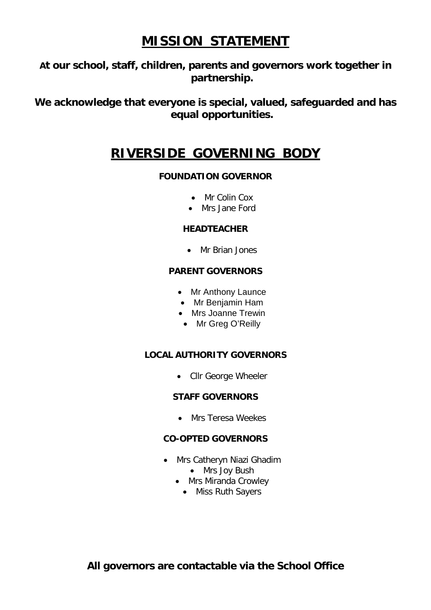## **MISSION STATEMENT**

**At our school, staff, children, parents and governors work together in partnership.**

**We acknowledge that everyone is special, valued, safeguarded and has equal opportunities.**

## **RIVERSIDE GOVERNING BODY**

## **FOUNDATION GOVERNOR**

- Mr Colin Cox
- Mrs Jane Ford

## **HEADTEACHER**

• Mr Brian Jones

### **PARENT GOVERNORS**

- Mr Anthony Launce
- Mr Benjamin Ham
- Mrs Joanne Trewin
- Mr Greg O'Reilly

## **LOCAL AUTHORITY GOVERNORS**

• Cllr George Wheeler

### **STAFF GOVERNORS**

• Mrs Teresa Weekes

## **CO-OPTED GOVERNORS**

- Mrs Catheryn Niazi Ghadim
	- Mrs Joy Bush
	- Mrs Miranda Crowley
		- Miss Ruth Sayers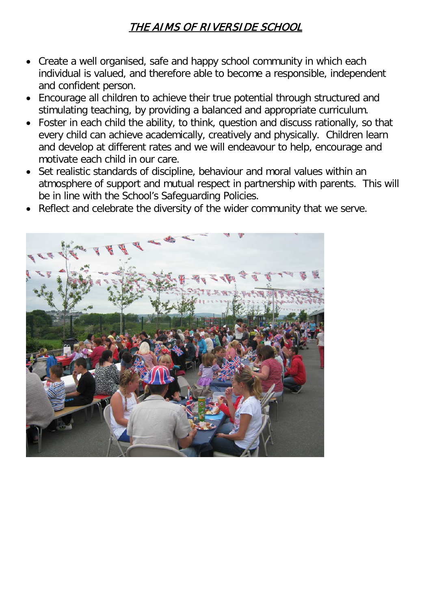## THE AIMS OF RIVERSIDE SCHOOL

- Create a well organised, safe and happy school community in which each individual is valued, and therefore able to become a responsible, independent and confident person.
- Encourage all children to achieve their true potential through structured and stimulating teaching, by providing a balanced and appropriate curriculum.
- Foster in each child the ability, to think, question and discuss rationally, so that every child can achieve academically, creatively and physically. Children learn and develop at different rates and we will endeavour to help, encourage and motivate each child in our care.
- Set realistic standards of discipline, behaviour and moral values within an atmosphere of support and mutual respect in partnership with parents. This will be in line with the School's Safeguarding Policies.
- Reflect and celebrate the diversity of the wider community that we serve.

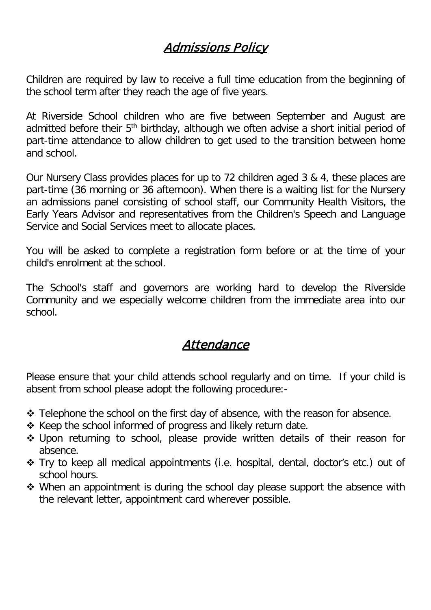## Admissions Policy

Children are required by law to receive a full time education from the beginning of the school term after they reach the age of five years.

At Riverside School children who are five between September and August are admitted before their 5<sup>th</sup> birthday, although we often advise a short initial period of part-time attendance to allow children to get used to the transition between home and school.

Our Nursery Class provides places for up to 72 children aged 3 & 4, these places are part-time (36 morning or 36 afternoon). When there is a waiting list for the Nursery an admissions panel consisting of school staff, our Community Health Visitors, the Early Years Advisor and representatives from the Children's Speech and Language Service and Social Services meet to allocate places.

You will be asked to complete a registration form before or at the time of your child's enrolment at the school.

The School's staff and governors are working hard to develop the Riverside Community and we especially welcome children from the immediate area into our school.

## Attendance

Please ensure that your child attends school regularly and on time. If your child is absent from school please adopt the following procedure:-

- $\cdot$  Telephone the school on the first day of absence, with the reason for absence.
- $\triangle$  Keep the school informed of progress and likely return date.
- Upon returning to school, please provide written details of their reason for absence.
- Try to keep all medical appointments (i.e. hospital, dental, doctor's etc.) out of school hours.
- ◆ When an appointment is during the school day please support the absence with the relevant letter, appointment card wherever possible.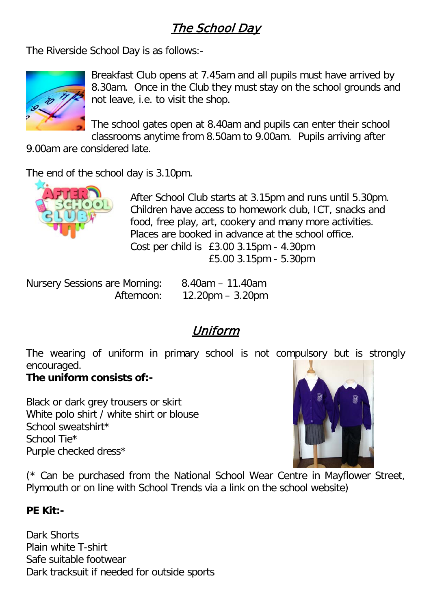## The School Day

The Riverside School Day is as follows:-



Breakfast Club opens at 7.45am and all pupils must have arrived by 8.30am. Once in the Club they must stay on the school grounds and not leave, i.e. to visit the shop.

The school gates open at 8.40am and pupils can enter their school classrooms anytime from 8.50am to 9.00am. Pupils arriving after

9.00am are considered late.

The end of the school day is 3.10pm.



After School Club starts at 3.15pm and runs until 5.30pm. Children have access to homework club, ICT, snacks and food, free play, art, cookery and many more activities. Places are booked in advance at the school office. Cost per child is £3.00 3.15pm - 4.30pm £5.00 3.15pm - 5.30pm

Nursery Sessions are Morning: 8.40am – 11.40am

Afternoon: 12.20pm – 3.20pm

# Uniform

The wearing of uniform in primary school is not compulsory but is strongly encouraged.

## **The uniform consists of:-**

Black or dark grey trousers or skirt White polo shirt / white shirt or blouse School sweatshirt\* School Tie\* Purple checked dress\*



(\* Can be purchased from the National School Wear Centre in Mayflower Street, Plymouth or on line with School Trends via a link on the school website)

## **PE Kit:-**

Dark Shorts Plain white T-shirt Safe suitable footwear Dark tracksuit if needed for outside sports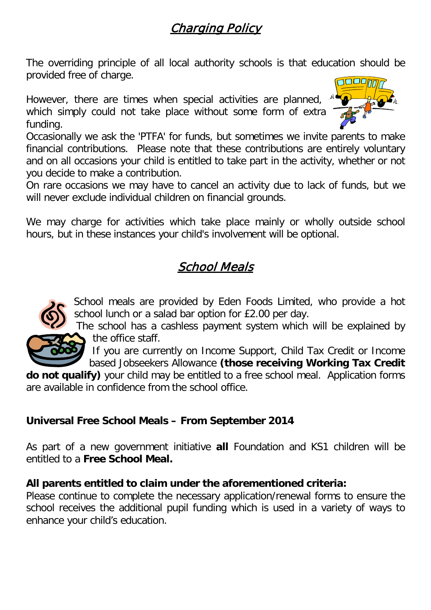# Charging Policy

The overriding principle of all local authority schools is that education should be provided free of charge.

However, there are times when special activities are planned, which simply could not take place without some form of extra funding.



Occasionally we ask the 'PTFA' for funds, but sometimes we invite parents to make financial contributions. Please note that these contributions are entirely voluntary and on all occasions your child is entitled to take part in the activity, whether or not you decide to make a contribution.

On rare occasions we may have to cancel an activity due to lack of funds, but we will never exclude individual children on financial grounds.

We may charge for activities which take place mainly or wholly outside school hours, but in these instances your child's involvement will be optional.

## School Meals



School meals are provided by Eden Foods Limited, who provide a hot school lunch or a salad bar option for £2.00 per day.

The school has a cashless payment system which will be explained by the office staff.

If you are currently on Income Support, Child Tax Credit or Income based Jobseekers Allowance **(those receiving Working Tax Credit** 

**do not qualify)** your child may be entitled to a free school meal. Application forms are available in confidence from the school office.

## **Universal Free School Meals – From September 2014**

As part of a new government initiative **all** Foundation and KS1 children will be entitled to a **Free School Meal.** 

## **All parents entitled to claim under the aforementioned criteria:**

Please continue to complete the necessary application/renewal forms to ensure the school receives the additional pupil funding which is used in a variety of ways to enhance your child's education.